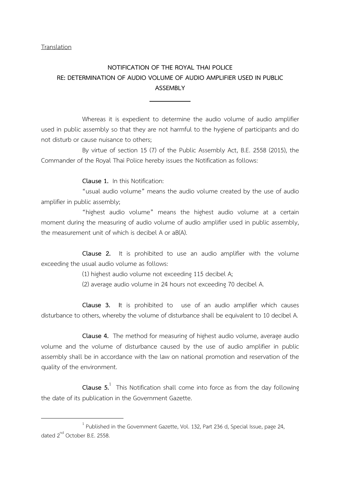**Translation** 

 $\overline{a}$ 

## NOTIFICATION OF THE ROYAL THAI POLICE RE: DETERMINATION OF AUDIO VOLUME OF AUDIO AMPLIFIER USED IN PUBLIC ASSEMBLY

Whereas it is expedient to determine the audio volume of audio amplifier used in public assembly so that they are not harmful to the hygiene of participants and do not disturb or cause nuisance to others;

By virtue of section 15 (7) of the Public Assembly Act, B.E. 2558 (2015), the Commander of the Royal Thai Police hereby issues the Notification as follows:

Clause 1. In this Notification:

"usual audio volume" means the audio volume created by the use of audio amplifier in public assembly;

"highest audio volume" means the highest audio volume at a certain moment during the measuring of audio volume of audio amplifier used in public assembly, the measurement unit of which is decibel A or aB(A).

Clause 2. It is prohibited to use an audio amplifier with the volume exceeding the usual audio volume as follows:

(1) highest audio volume not exceeding 115 decibel A;

(2) average audio volume in 24 hours not exceeding 70 decibel A.

Clause 3. It is prohibited to use of an audio amplifier which causes disturbance to others, whereby the volume of disturbance shall be equivalent to 10 decibel A.

Clause 4. The method for measuring of highest audio volume, average audio volume and the volume of disturbance caused by the use of audio amplifier in public assembly shall be in accordance with the law on national promotion and reservation of the quality of the environment.

**Clause 5.** This Notification shall come into force as from the day following the date of its publication in the Government Gazette.

 $^1$  Published in the Government Gazette, Vol. 132, Part 236 d, Special Issue, page 24, dated 2<sup>nd</sup> October B.E. 2558.